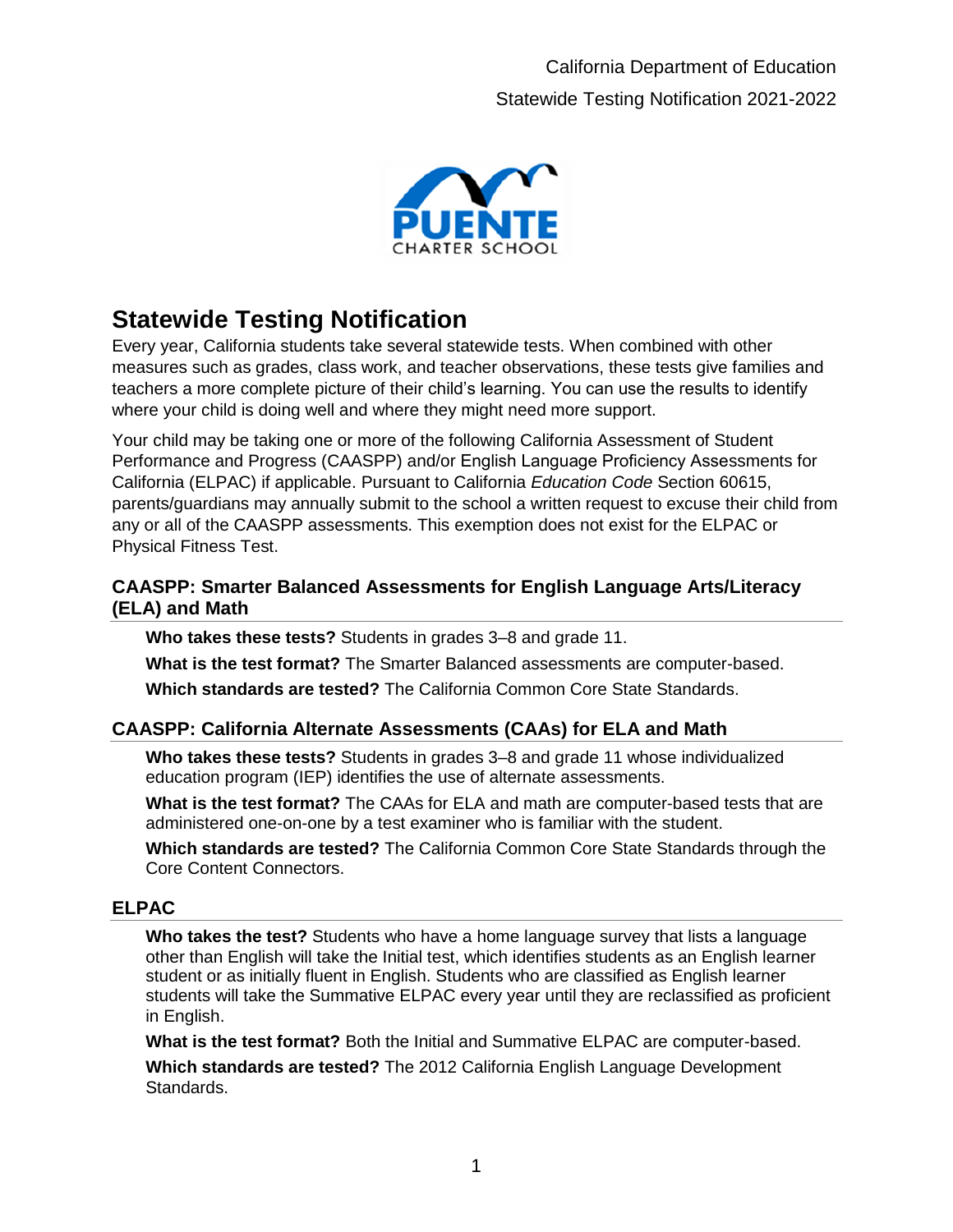

# **Statewide Testing Notification**

Every year, California students take several statewide tests. When combined with other measures such as grades, class work, and teacher observations, these tests give families and teachers a more complete picture of their child's learning. You can use the results to identify where your child is doing well and where they might need more support.

Your child may be taking one or more of the following California Assessment of Student Performance and Progress (CAASPP) and/or English Language Proficiency Assessments for California (ELPAC) if applicable. Pursuant to California *Education Code* Section 60615, parents/guardians may annually submit to the school a written request to excuse their child from any or all of the CAASPP assessments. This exemption does not exist for the ELPAC or Physical Fitness Test.

#### **CAASPP: Smarter Balanced Assessments for English Language Arts/Literacy (ELA) and Math**

**Who takes these tests?** Students in grades 3–8 and grade 11.

**What is the test format?** The Smarter Balanced assessments are computer-based. **Which standards are tested?** The California Common Core State Standards.

## **CAASPP: California Alternate Assessments (CAAs) for ELA and Math**

**Who takes these tests?** Students in grades 3–8 and grade 11 whose individualized education program (IEP) identifies the use of alternate assessments.

**What is the test format?** The CAAs for ELA and math are computer-based tests that are administered one-on-one by a test examiner who is familiar with the student.

**Which standards are tested?** The California Common Core State Standards through the Core Content Connectors.

## **ELPAC**

**Who takes the test?** Students who have a home language survey that lists a language other than English will take the Initial test, which identifies students as an English learner student or as initially fluent in English. Students who are classified as English learner students will take the Summative ELPAC every year until they are reclassified as proficient in English.

**What is the test format?** Both the Initial and Summative ELPAC are computer-based.

**Which standards are tested?** The 2012 California English Language Development Standards.